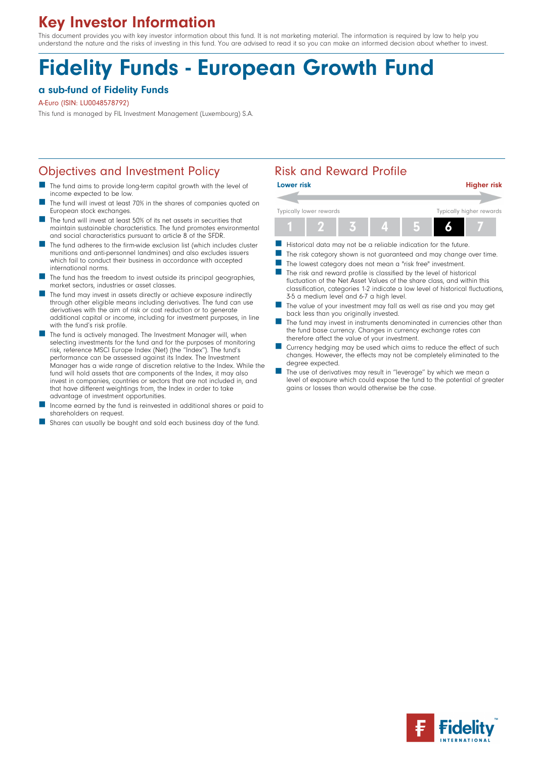# Key Investor Information

This document provides you with key investor information about this fund. It is not marketing material. The information is required by law to help you understand the nature and the risks of investing in this fund. You are advised to read it so you can make an informed decision about whether to invest.

# Fidelity Funds - European Growth Fund

#### a sub-fund of Fidelity Funds

A-Euro (ISIN: LU0048578792)

This fund is managed by FIL Investment Management (Luxembourg) S.A.

#### Objectives and Investment Policy **Risk and Reward Profile**

- The fund aims to provide long-term capital growth with the level of income expected to be low.
- The fund will invest at least 70% in the shares of companies quoted on European stock exchanges.
- n The fund will invest at least 50% of its net assets in securities that maintain sustainable characteristics. The fund promotes environmental and social characteristics pursuant to article 8 of the SFDR.
- The fund adheres to the firm-wide exclusion list (which includes cluster munitions and anti-personnel landmines) and also excludes issuers which fail to conduct their business in accordance with accepted international norms.
- The fund has the freedom to invest outside its principal geographies, market sectors, industries or asset classes.
- The fund may invest in assets directly or achieve exposure indirectly through other eligible means including derivatives. The fund can use derivatives with the aim of risk or cost reduction or to generate additional capital or income, including for investment purposes, in line with the fund's risk profile.
- **n** The fund is actively managed. The Investment Manager will, when selecting investments for the fund and for the purposes of monitoring risk, reference MSCI Europe Index (Net) (the ''Index''). The fund's performance can be assessed against its Index. The Investment Manager has a wide range of discretion relative to the Index. While the fund will hold assets that are components of the Index, it may also invest in companies, countries or sectors that are not included in, and that have different weightings from, the Index in order to take advantage of investment opportunities.
- Income earned by the fund is reinvested in additional shares or paid to shareholders on request.
- Shares can usually be bought and sold each business day of the fund.



- Historical data may not be a reliable indication for the future.
- The risk category shown is not guaranteed and may change over time.
- The lowest category does not mean a "risk free" investment.
- The risk and reward profile is classified by the level of historical fluctuation of the Net Asset Values of the share class, and within this classification, categories 1-2 indicate a low level of historical fluctuations, 3-5 a medium level and 6-7 a high level.
- The value of your investment may fall as well as rise and you may get back less than you originally invested.
- The fund may invest in instruments denominated in currencies other than the fund base currency. Changes in currency exchange rates can therefore affect the value of your investment.
- Currency hedging may be used which aims to reduce the effect of such changes. However, the effects may not be completely eliminated to the degree expected.
- The use of derivatives may result in "leverage" by which we mean a level of exposure which could expose the fund to the potential of greater gains or losses than would otherwise be the case.